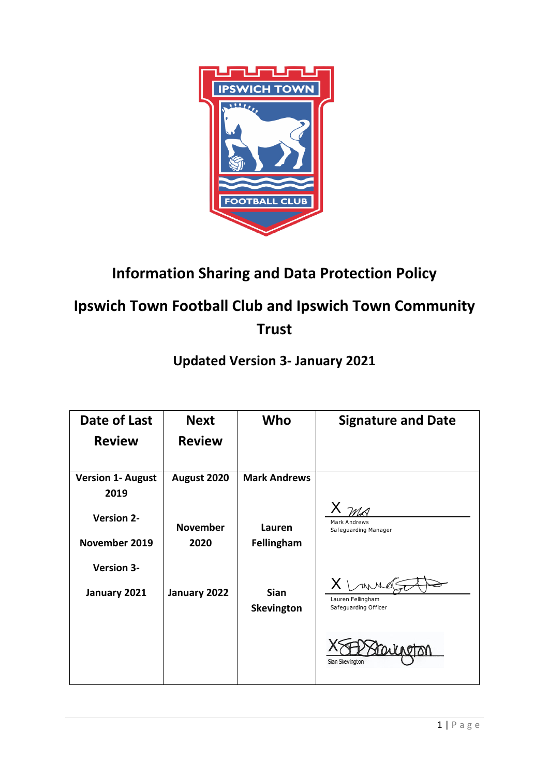

# **Information Sharing and Data Protection Policy**

# **Ipswich Town Football Club and Ipswich Town Community Trust**

## **Updated Version 3- January 2021**

| Date of Last                     | <b>Next</b>     | Who                              | <b>Signature and Date</b>                                  |
|----------------------------------|-----------------|----------------------------------|------------------------------------------------------------|
| <b>Review</b>                    | <b>Review</b>   |                                  |                                                            |
| <b>Version 1- August</b><br>2019 | August 2020     | <b>Mark Andrews</b>              |                                                            |
| <b>Version 2-</b>                | <b>November</b> | Lauren                           | Mark Andrews<br>Safeguarding Manager                       |
| November 2019                    | 2020            | Fellingham                       |                                                            |
| <b>Version 3-</b>                |                 |                                  |                                                            |
| January 2021                     | January 2022    | <b>Sian</b><br><b>Skevington</b> | $X \setminus$<br>Lauren Fellingham<br>Safeguarding Officer |
|                                  |                 |                                  | Sian Skevington                                            |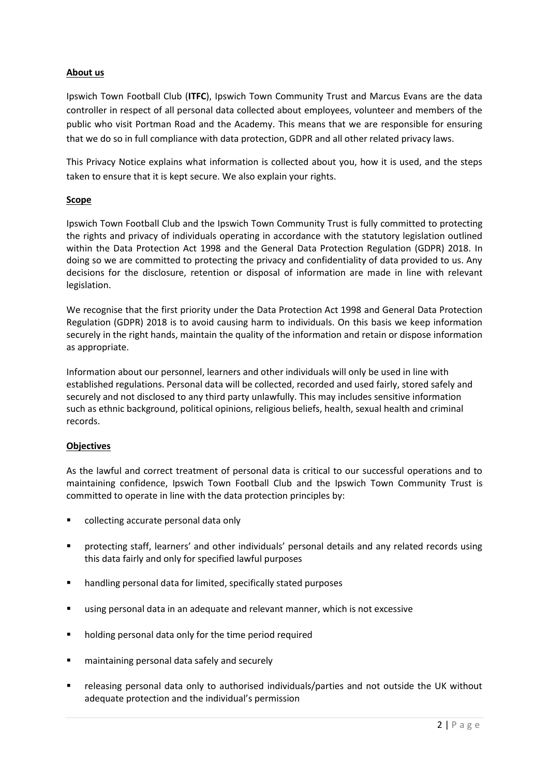## **About us**

Ipswich Town Football Club (**ITFC**), Ipswich Town Community Trust and Marcus Evans are the data controller in respect of all personal data collected about employees, volunteer and members of the public who visit Portman Road and the Academy. This means that we are responsible for ensuring that we do so in full compliance with data protection, GDPR and all other related privacy laws.

This Privacy Notice explains what information is collected about you, how it is used, and the steps taken to ensure that it is kept secure. We also explain your rights.

## **Scope**

Ipswich Town Football Club and the Ipswich Town Community Trust is fully committed to protecting the rights and privacy of individuals operating in accordance with the statutory legislation outlined within the Data Protection Act 1998 and the General Data Protection Regulation (GDPR) 2018. In doing so we are committed to protecting the privacy and confidentiality of data provided to us. Any decisions for the disclosure, retention or disposal of information are made in line with relevant legislation.

We recognise that the first priority under the Data Protection Act 1998 and General Data Protection Regulation (GDPR) 2018 is to avoid causing harm to individuals. On this basis we keep information securely in the right hands, maintain the quality of the information and retain or dispose information as appropriate.

Information about our personnel, learners and other individuals will only be used in line with established regulations. Personal data will be collected, recorded and used fairly, stored safely and securely and not disclosed to any third party unlawfully. This may includes sensitive information such as ethnic background, political opinions, religious beliefs, health, sexual health and criminal records.

## **Objectives**

As the lawful and correct treatment of personal data is critical to our successful operations and to maintaining confidence, Ipswich Town Football Club and the Ipswich Town Community Trust is committed to operate in line with the data protection principles by:

- collecting accurate personal data only
- protecting staff, learners' and other individuals' personal details and any related records using this data fairly and only for specified lawful purposes
- handling personal data for limited, specifically stated purposes
- using personal data in an adequate and relevant manner, which is not excessive
- holding personal data only for the time period required
- maintaining personal data safely and securely
- releasing personal data only to authorised individuals/parties and not outside the UK without adequate protection and the individual's permission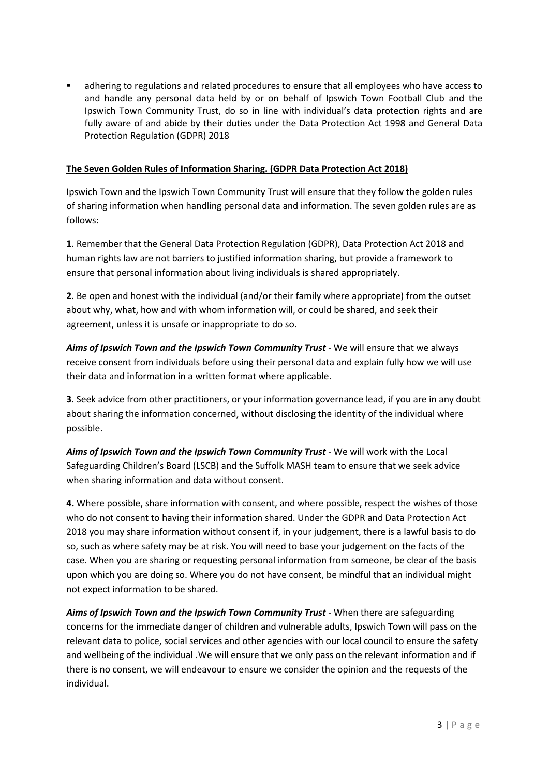adhering to regulations and related procedures to ensure that all employees who have access to and handle any personal data held by or on behalf of Ipswich Town Football Club and the Ipswich Town Community Trust, do so in line with individual's data protection rights and are fully aware of and abide by their duties under the Data Protection Act 1998 and General Data Protection Regulation (GDPR) 2018

## **The Seven Golden Rules of Information Sharing. (GDPR Data Protection Act 2018)**

Ipswich Town and the Ipswich Town Community Trust will ensure that they follow the golden rules of sharing information when handling personal data and information. The seven golden rules are as follows:

**1**. Remember that the General Data Protection Regulation (GDPR), Data Protection Act 2018 and human rights law are not barriers to justified information sharing, but provide a framework to ensure that personal information about living individuals is shared appropriately.

**2**. Be open and honest with the individual (and/or their family where appropriate) from the outset about why, what, how and with whom information will, or could be shared, and seek their agreement, unless it is unsafe or inappropriate to do so.

*Aims of Ipswich Town and the Ipswich Town Community Trust* - We will ensure that we always receive consent from individuals before using their personal data and explain fully how we will use their data and information in a written format where applicable.

**3**. Seek advice from other practitioners, or your information governance lead, if you are in any doubt about sharing the information concerned, without disclosing the identity of the individual where possible.

*Aims of Ipswich Town and the Ipswich Town Community Trust -* We will work with the Local Safeguarding Children's Board (LSCB) and the Suffolk MASH team to ensure that we seek advice when sharing information and data without consent.

**4.** Where possible, share information with consent, and where possible, respect the wishes of those who do not consent to having their information shared. Under the GDPR and Data Protection Act 2018 you may share information without consent if, in your judgement, there is a lawful basis to do so, such as where safety may be at risk. You will need to base your judgement on the facts of the case. When you are sharing or requesting personal information from someone, be clear of the basis upon which you are doing so. Where you do not have consent, be mindful that an individual might not expect information to be shared.

*Aims of Ipswich Town and the Ipswich Town Community Trust* - When there are safeguarding concerns for the immediate danger of children and vulnerable adults, Ipswich Town will pass on the relevant data to police, social services and other agencies with our local council to ensure the safety and wellbeing of the individual .We will ensure that we only pass on the relevant information and if there is no consent, we will endeavour to ensure we consider the opinion and the requests of the individual.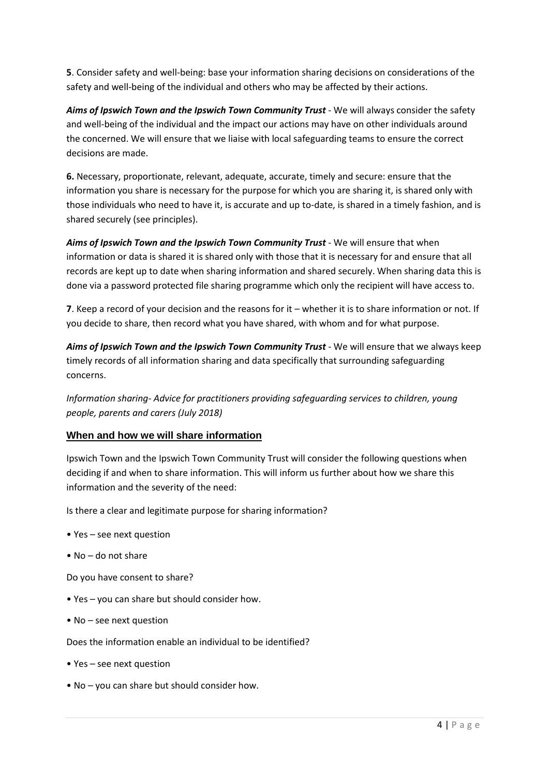**5**. Consider safety and well-being: base your information sharing decisions on considerations of the safety and well-being of the individual and others who may be affected by their actions.

*Aims of Ipswich Town and the Ipswich Town Community Trust* - We will always consider the safety and well-being of the individual and the impact our actions may have on other individuals around the concerned. We will ensure that we liaise with local safeguarding teams to ensure the correct decisions are made.

**6.** Necessary, proportionate, relevant, adequate, accurate, timely and secure: ensure that the information you share is necessary for the purpose for which you are sharing it, is shared only with those individuals who need to have it, is accurate and up to-date, is shared in a timely fashion, and is shared securely (see principles).

*Aims of Ipswich Town and the Ipswich Town Community Trust* - We will ensure that when information or data is shared it is shared only with those that it is necessary for and ensure that all records are kept up to date when sharing information and shared securely. When sharing data this is done via a password protected file sharing programme which only the recipient will have access to.

**7**. Keep a record of your decision and the reasons for it – whether it is to share information or not. If you decide to share, then record what you have shared, with whom and for what purpose.

*Aims of Ipswich Town and the Ipswich Town Community Trust* - We will ensure that we always keep timely records of all information sharing and data specifically that surrounding safeguarding concerns.

*Information sharing- Advice for practitioners providing safeguarding services to children, young people, parents and carers (July 2018)*

## **When and how we will share information**

Ipswich Town and the Ipswich Town Community Trust will consider the following questions when deciding if and when to share information. This will inform us further about how we share this information and the severity of the need:

Is there a clear and legitimate purpose for sharing information?

- Yes see next question
- No do not share

Do you have consent to share?

- Yes you can share but should consider how.
- No see next question

Does the information enable an individual to be identified?

- Yes see next question
- No you can share but should consider how.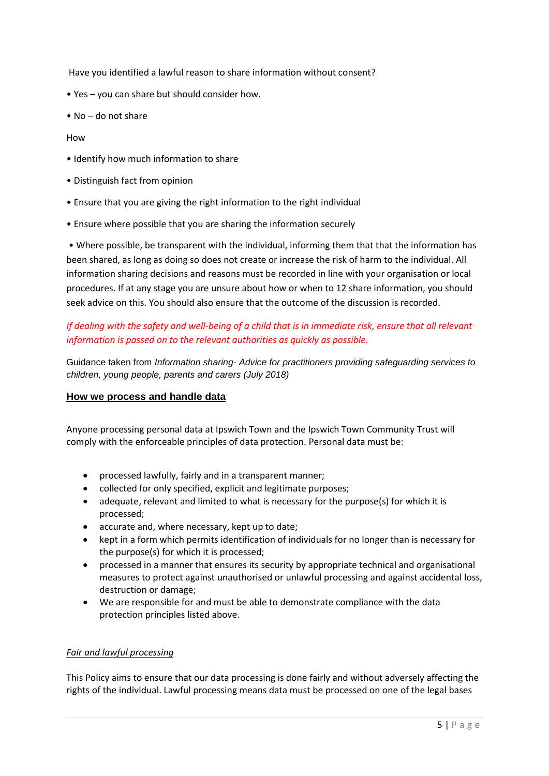Have you identified a lawful reason to share information without consent?

- Yes you can share but should consider how.
- No do not share

#### How

- Identify how much information to share
- Distinguish fact from opinion
- Ensure that you are giving the right information to the right individual
- Ensure where possible that you are sharing the information securely

• Where possible, be transparent with the individual, informing them that that the information has been shared, as long as doing so does not create or increase the risk of harm to the individual. All information sharing decisions and reasons must be recorded in line with your organisation or local procedures. If at any stage you are unsure about how or when to 12 share information, you should seek advice on this. You should also ensure that the outcome of the discussion is recorded.

## *If dealing with the safety and well-being of a child that is in immediate risk, ensure that all relevant information is passed on to the relevant authorities as quickly as possible.*

Guidance taken from *Information sharing- Advice for practitioners providing safeguarding services to children, young people, parents and carers (July 2018)*

## **How we process and handle data**

Anyone processing personal data at Ipswich Town and the Ipswich Town Community Trust will comply with the enforceable principles of data protection. Personal data must be:

- processed lawfully, fairly and in a transparent manner;
- collected for only specified, explicit and legitimate purposes;
- adequate, relevant and limited to what is necessary for the purpose(s) for which it is processed;
- accurate and, where necessary, kept up to date;
- kept in a form which permits identification of individuals for no longer than is necessary for the purpose(s) for which it is processed;
- processed in a manner that ensures its security by appropriate technical and organisational measures to protect against unauthorised or unlawful processing and against accidental loss, destruction or damage;
- We are responsible for and must be able to demonstrate compliance with the data protection principles listed above.

#### *Fair and lawful processing*

This Policy aims to ensure that our data processing is done fairly and without adversely affecting the rights of the individual. Lawful processing means data must be processed on one of the legal bases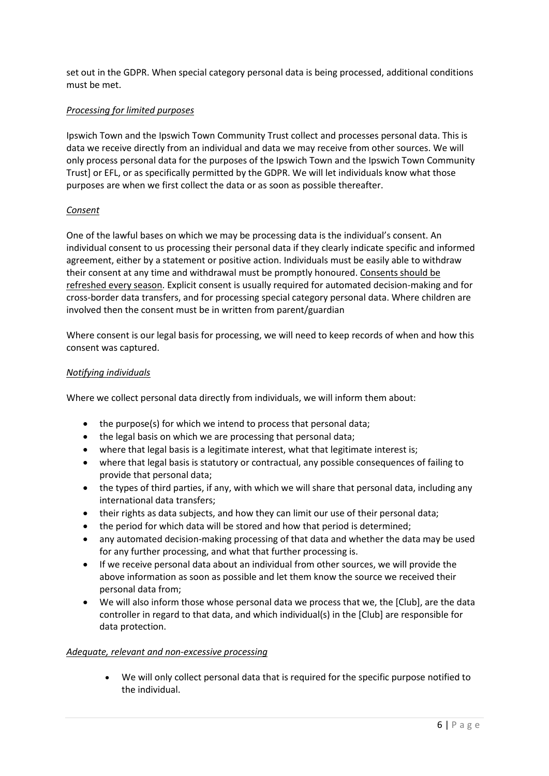set out in the GDPR. When special category personal data is being processed, additional conditions must be met.

#### *Processing for limited purposes*

Ipswich Town and the Ipswich Town Community Trust collect and processes personal data. This is data we receive directly from an individual and data we may receive from other sources. We will only process personal data for the purposes of the Ipswich Town and the Ipswich Town Community Trust] or EFL, or as specifically permitted by the GDPR. We will let individuals know what those purposes are when we first collect the data or as soon as possible thereafter.

#### *Consent*

One of the lawful bases on which we may be processing data is the individual's consent. An individual consent to us processing their personal data if they clearly indicate specific and informed agreement, either by a statement or positive action. Individuals must be easily able to withdraw their consent at any time and withdrawal must be promptly honoured. Consents should be refreshed every season. Explicit consent is usually required for automated decision-making and for cross-border data transfers, and for processing special category personal data. Where children are involved then the consent must be in written from parent/guardian

Where consent is our legal basis for processing, we will need to keep records of when and how this consent was captured.

#### *Notifying individuals*

Where we collect personal data directly from individuals, we will inform them about:

- the purpose(s) for which we intend to process that personal data;
- the legal basis on which we are processing that personal data;
- where that legal basis is a legitimate interest, what that legitimate interest is;
- where that legal basis is statutory or contractual, any possible consequences of failing to provide that personal data;
- the types of third parties, if any, with which we will share that personal data, including any international data transfers;
- their rights as data subjects, and how they can limit our use of their personal data;
- the period for which data will be stored and how that period is determined;
- any automated decision-making processing of that data and whether the data may be used for any further processing, and what that further processing is.
- If we receive personal data about an individual from other sources, we will provide the above information as soon as possible and let them know the source we received their personal data from;
- We will also inform those whose personal data we process that we, the [Club], are the data controller in regard to that data, and which individual(s) in the [Club] are responsible for data protection.

#### *Adequate, relevant and non-excessive processing*

 We will only collect personal data that is required for the specific purpose notified to the individual.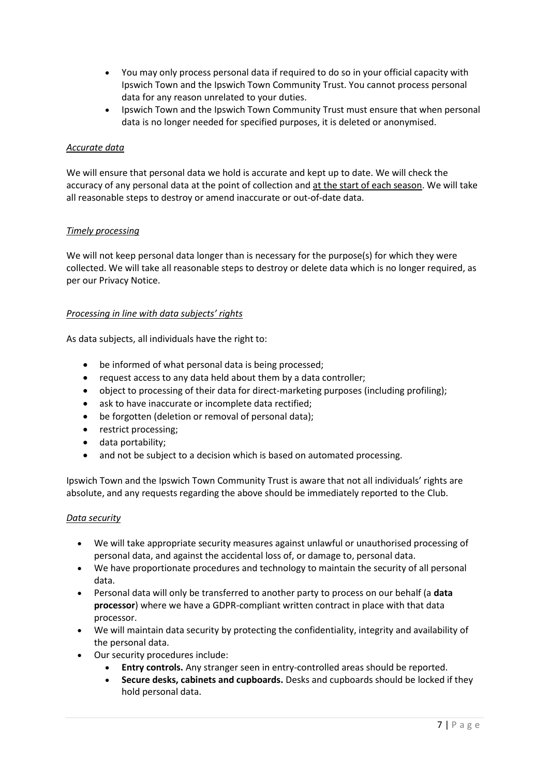- You may only process personal data if required to do so in your official capacity with Ipswich Town and the Ipswich Town Community Trust. You cannot process personal data for any reason unrelated to your duties.
- Ipswich Town and the Ipswich Town Community Trust must ensure that when personal data is no longer needed for specified purposes, it is deleted or anonymised.

#### *Accurate data*

We will ensure that personal data we hold is accurate and kept up to date. We will check the accuracy of any personal data at the point of collection and at the start of each season. We will take all reasonable steps to destroy or amend inaccurate or out-of-date data.

#### *Timely processing*

We will not keep personal data longer than is necessary for the purpose(s) for which they were collected. We will take all reasonable steps to destroy or delete data which is no longer required, as per our Privacy Notice.

#### *Processing in line with data subjects' rights*

As data subjects, all individuals have the right to:

- be informed of what personal data is being processed;
- request access to any data held about them by a data controller;
- object to processing of their data for direct-marketing purposes (including profiling);
- ask to have inaccurate or incomplete data rectified;
- be forgotten (deletion or removal of personal data);
- restrict processing;
- data portability;
- and not be subject to a decision which is based on automated processing.

Ipswich Town and the Ipswich Town Community Trust is aware that not all individuals' rights are absolute, and any requests regarding the above should be immediately reported to the Club.

#### *Data security*

- We will take appropriate security measures against unlawful or unauthorised processing of personal data, and against the accidental loss of, or damage to, personal data.
- We have proportionate procedures and technology to maintain the security of all personal data.
- Personal data will only be transferred to another party to process on our behalf (a **data processor**) where we have a GDPR-compliant written contract in place with that data processor.
- We will maintain data security by protecting the confidentiality, integrity and availability of the personal data.
- Our security procedures include:
	- **Entry controls.** Any stranger seen in entry-controlled areas should be reported.
	- **Secure desks, cabinets and cupboards.** Desks and cupboards should be locked if they hold personal data.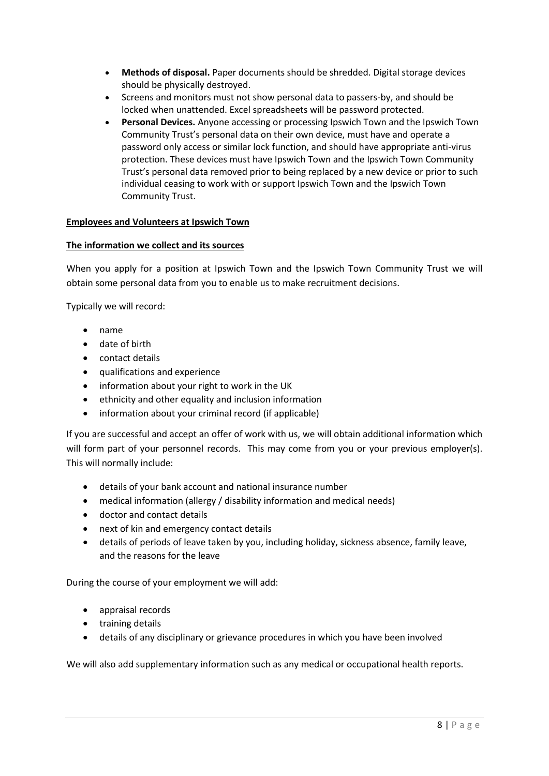- **Methods of disposal.** Paper documents should be shredded. Digital storage devices should be physically destroyed.
- Screens and monitors must not show personal data to passers-by, and should be locked when unattended. Excel spreadsheets will be password protected.
- **Personal Devices.** Anyone accessing or processing Ipswich Town and the Ipswich Town Community Trust's personal data on their own device, must have and operate a password only access or similar lock function, and should have appropriate anti-virus protection. These devices must have Ipswich Town and the Ipswich Town Community Trust's personal data removed prior to being replaced by a new device or prior to such individual ceasing to work with or support Ipswich Town and the Ipswich Town Community Trust.

#### **Employees and Volunteers at Ipswich Town**

#### **The information we collect and its sources**

When you apply for a position at Ipswich Town and the Ipswich Town Community Trust we will obtain some personal data from you to enable us to make recruitment decisions.

Typically we will record:

- name
- date of birth
- contact details
- qualifications and experience
- information about your right to work in the UK
- ethnicity and other equality and inclusion information
- information about your criminal record (if applicable)

If you are successful and accept an offer of work with us, we will obtain additional information which will form part of your personnel records. This may come from you or your previous employer(s). This will normally include:

- details of your bank account and national insurance number
- medical information (allergy / disability information and medical needs)
- doctor and contact details
- next of kin and emergency contact details
- details of periods of leave taken by you, including holiday, sickness absence, family leave, and the reasons for the leave

During the course of your employment we will add:

- appraisal records
- **•** training details
- details of any disciplinary or grievance procedures in which you have been involved

We will also add supplementary information such as any medical or occupational health reports.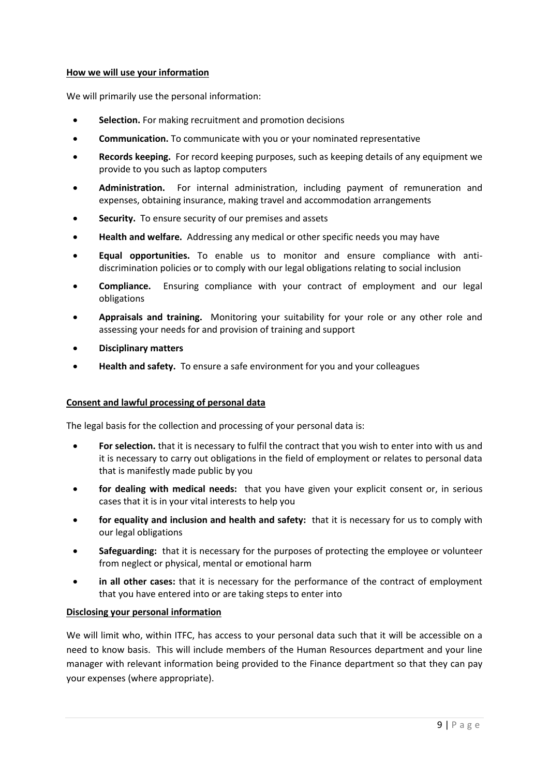#### **How we will use your information**

We will primarily use the personal information:

- **Selection.** For making recruitment and promotion decisions
- **Communication.** To communicate with you or your nominated representative
- **Records keeping.** For record keeping purposes, such as keeping details of any equipment we provide to you such as laptop computers
- **Administration.** For internal administration, including payment of remuneration and expenses, obtaining insurance, making travel and accommodation arrangements
- **Security.** To ensure security of our premises and assets
- **Health and welfare.** Addressing any medical or other specific needs you may have
- **Equal opportunities.** To enable us to monitor and ensure compliance with antidiscrimination policies or to comply with our legal obligations relating to social inclusion
- **Compliance.** Ensuring compliance with your contract of employment and our legal obligations
- **Appraisals and training.** Monitoring your suitability for your role or any other role and assessing your needs for and provision of training and support
- **Disciplinary matters**
- **Health and safety.** To ensure a safe environment for you and your colleagues

#### **Consent and lawful processing of personal data**

The legal basis for the collection and processing of your personal data is:

- **For selection.** that it is necessary to fulfil the contract that you wish to enter into with us and it is necessary to carry out obligations in the field of employment or relates to personal data that is manifestly made public by you
- **for dealing with medical needs:** that you have given your explicit consent or, in serious cases that it is in your vital interests to help you
- **for equality and inclusion and health and safety:** that it is necessary for us to comply with our legal obligations
- **Safeguarding:** that it is necessary for the purposes of protecting the employee or volunteer from neglect or physical, mental or emotional harm
- **in all other cases:** that it is necessary for the performance of the contract of employment that you have entered into or are taking steps to enter into

#### **Disclosing your personal information**

We will limit who, within ITFC, has access to your personal data such that it will be accessible on a need to know basis. This will include members of the Human Resources department and your line manager with relevant information being provided to the Finance department so that they can pay your expenses (where appropriate).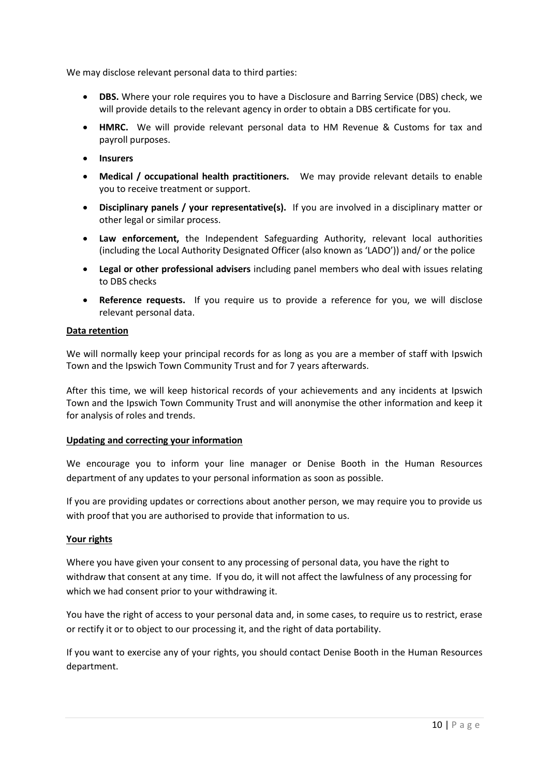We may disclose relevant personal data to third parties:

- **DBS.** Where your role requires you to have a Disclosure and Barring Service (DBS) check, we will provide details to the relevant agency in order to obtain a DBS certificate for you.
- **HMRC.** We will provide relevant personal data to HM Revenue & Customs for tax and payroll purposes.
- **Insurers**
- **Medical / occupational health practitioners.** We may provide relevant details to enable you to receive treatment or support.
- **Disciplinary panels / your representative(s).** If you are involved in a disciplinary matter or other legal or similar process.
- **Law enforcement,** the Independent Safeguarding Authority, relevant local authorities (including the Local Authority Designated Officer (also known as 'LADO')) and/ or the police
- **Legal or other professional advisers** including panel members who deal with issues relating to DBS checks
- **Reference requests.** If you require us to provide a reference for you, we will disclose relevant personal data.

#### **Data retention**

We will normally keep your principal records for as long as you are a member of staff with Ipswich Town and the Ipswich Town Community Trust and for 7 years afterwards.

After this time, we will keep historical records of your achievements and any incidents at Ipswich Town and the Ipswich Town Community Trust and will anonymise the other information and keep it for analysis of roles and trends.

#### **Updating and correcting your information**

We encourage you to inform your line manager or Denise Booth in the Human Resources department of any updates to your personal information as soon as possible.

If you are providing updates or corrections about another person, we may require you to provide us with proof that you are authorised to provide that information to us.

## **Your rights**

Where you have given your consent to any processing of personal data, you have the right to withdraw that consent at any time. If you do, it will not affect the lawfulness of any processing for which we had consent prior to your withdrawing it.

You have the right of access to your personal data and, in some cases, to require us to restrict, erase or rectify it or to object to our processing it, and the right of data portability.

If you want to exercise any of your rights, you should contact Denise Booth in the Human Resources department.